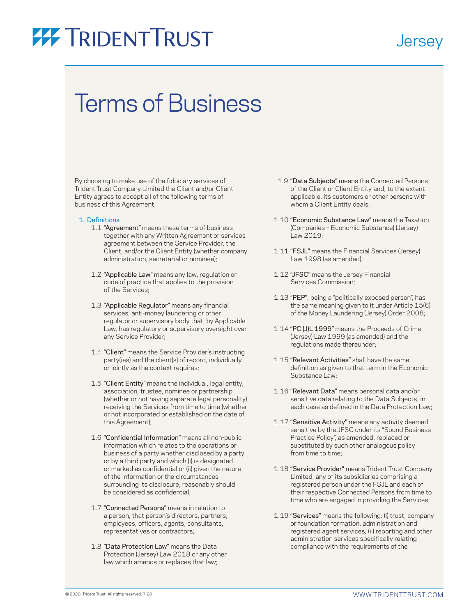### **Jersey**

### Terms of Business

By choosing to make use of the fiduciary services of Trident Trust Company Limited the Client and/or Client Entity agrees to accept all of the following terms of business of this Agreement:

#### 1. Definitions

- 1.1 "Agreement" means these terms of business together with any Written Agreement or services agreement between the Service Provider, the Client, and/or the Client Entity (whether company administration, secretarial or nominee);
- 1.2 "Applicable Law" means any law, regulation or code of practice that applies to the provision of the Services;
- 1.3 "Applicable Regulator" means any financial services, anti-money laundering or other regulator or supervisory body that, by Applicable Law, has regulatory or supervisory oversight over any Service Provider;
- 1.4 "Client" means the Service Provider's instructing party(ies) and the client(s) of record, individually or jointly as the context requires;
- 1.5 "Client Entity" means the individual, legal entity, association, trustee, nominee or partnership (whether or not having separate legal personality) receiving the Services from time to time (whether or not incorporated or established on the date of this Agreement);
- 1.6 "Confidential Information" means all non-public information which relates to the operations or business of a party whether disclosed by a party or by a third party and which (i) is designated or marked as confidential or (ii) given the nature of the information or the circumstances surrounding its disclosure, reasonably should be considered as confidential;
- 1.7 "Connected Persons" means in relation to a person, that person's directors, partners, employees, officers, agents, consultants, representatives or contractors;
- 1.8 "Data Protection Law" means the Data Protection (Jersey) Law 2018 or any other law which amends or replaces that law;
- 1.9 "Data Subjects" means the Connected Persons of the Client or Client Entity and, to the extent applicable, its customers or other persons with whom a Client Entity deals;
- 1.10 "Economic Substance Law" means the Taxation (Companies – Economic Substance) (Jersey) Law 2019;
- 1.11 "FSJL" means the Financial Services (Jersey) Law 1998 (as amended);
- 1.12 "JFSC" means the Jersey Financial Services Commission;
- 1.13 "PEP", being a "politically exposed person", has the same meaning given to it under Article 15(6) of the Money Laundering (Jersey) Order 2008;
- 1.14 "PC (J)L 1999" means the Proceeds of Crime (Jersey) Law 1999 (as amended) and the regulations made thereunder;
- 1.15 "Relevant Activities" shall have the same definition as given to that term in the Economic Substance Law;
- 1.16 "Relevant Data" means personal data and/or sensitive data relating to the Data Subjects, in each case as defined in the Data Protection Law;
- 1.17 "Sensitive Activity" means any activity deemed sensitive by the JFSC under its "Sound Business Practice Policy", as amended, replaced or substituted by such other analogous policy from time to time;
- 1.18 "Service Provider" means Trident Trust Company Limited, any of its subsidiaries comprising a registered person under the FSJL and each of their respective Connected Persons from time to time who are engaged in providing the Services;
- 1.19 "Services" means the following: (i) trust, company or foundation formation, administration and registered agent services; (ii) reporting and other administration services specifically relating compliance with the requirements of the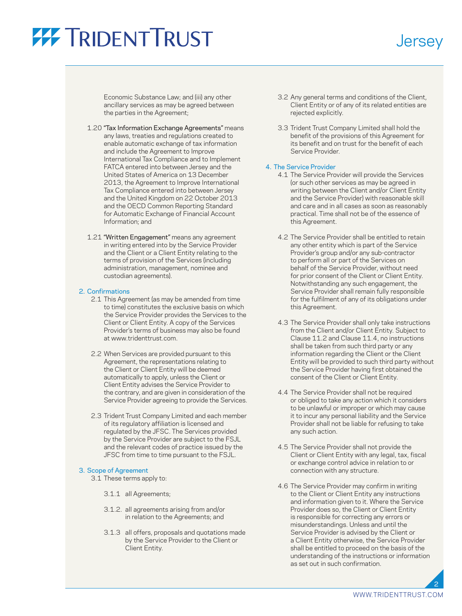**Jersey** 

Economic Substance Law; and (iii) any other ancillary services as may be agreed between the parties in the Agreement;

- 1.20 "Tax Information Exchange Agreements" means any laws, treaties and regulations created to enable automatic exchange of tax information and include the Agreement to Improve International Tax Compliance and to Implement FATCA entered into between Jersey and the United States of America on 13 December 2013, the Agreement to Improve International Tax Compliance entered into between Jersey and the United Kingdom on 22 October 2013 and the OECD Common Reporting Standard for Automatic Exchange of Financial Account Information; and
- 1.21 "Written Engagement" means any agreement in writing entered into by the Service Provider and the Client or a Client Entity relating to the terms of provision of the Services (including administration, management, nominee and custodian agreements).

### 2. Confirmations

- 2.1 This Agreement (as may be amended from time to time) constitutes the exclusive basis on which the Service Provider provides the Services to the Client or Client Entity. A copy of the Services Provider's terms of business may also be found at [www.tridenttrust.com](http://www.tridenttrust.com/).
- 2.2 When Services are provided pursuant to this Agreement, the representations relating to the Client or Client Entity will be deemed automatically to apply, unless the Client or Client Entity advises the Service Provider to the contrary, and are given in consideration of the Service Provider agreeing to provide the Services.
- 2.3 Trident Trust Company Limited and each member of its regulatory affiliation is licensed and regulated by the JFSC. The Services provided by the Service Provider are subject to the FSJL and the relevant codes of practice issued by the JFSC from time to time pursuant to the FSJL.

### 3. Scope of Agreement

- 3.1 These terms apply to:
	- 3.1.1 all Agreements;
	- 3.1.2. all agreements arising from and/or in relation to the Agreements; and
	- 3.1.3 all offers, proposals and quotations made by the Service Provider to the Client or Client Entity.
- 3.2 Any general terms and conditions of the Client, Client Entity or of any of its related entities are rejected explicitly.
- 3.3 Trident Trust Company Limited shall hold the benefit of the provisions of this Agreement for its benefit and on trust for the benefit of each Service Provider.

### 4. The Service Provider

- 4.1 The Service Provider will provide the Services (or such other services as may be agreed in writing between the Client and/or Client Entity and the Service Provider) with reasonable skill and care and in all cases as soon as reasonably practical. Time shall not be of the essence of this Agreement.
- 4.2 The Service Provider shall be entitled to retain any other entity which is part of the Service Provider's group and/or any sub-contractor to perform all or part of the Services on behalf of the Service Provider, without need for prior consent of the Client or Client Entity. Notwithstanding any such engagement, the Service Provider shall remain fully responsible for the fulfilment of any of its obligations under this Agreement.
- 4.3 The Service Provider shall only take instructions from the Client and/or Client Entity. Subject to Clause 11.2 and Clause 11.4, no instructions shall be taken from such third party or any information regarding the Client or the Client Entity will be provided to such third party without the Service Provider having first obtained the consent of the Client or Client Entity.
- 4.4 The Service Provider shall not be required or obliged to take any action which it considers to be unlawful or improper or which may cause it to incur any personal liability and the Service Provider shall not be liable for refusing to take any such action.
- 4.5 The Service Provider shall not provide the Client or Client Entity with any legal, tax, fiscal or exchange control advice in relation to or connection with any structure.
- 4.6 The Service Provider may confirm in writing to the Client or Client Entity any instructions and information given to it. Where the Service Provider does so, the Client or Client Entity is responsible for correcting any errors or misunderstandings. Unless and until the Service Provider is advised by the Client or a Client Entity otherwise, the Service Provider shall be entitled to proceed on the basis of the understanding of the instructions or information as set out in such confirmation.

[WWW.TRIDENTTRUST.COM](http://www.tridenttrust.com)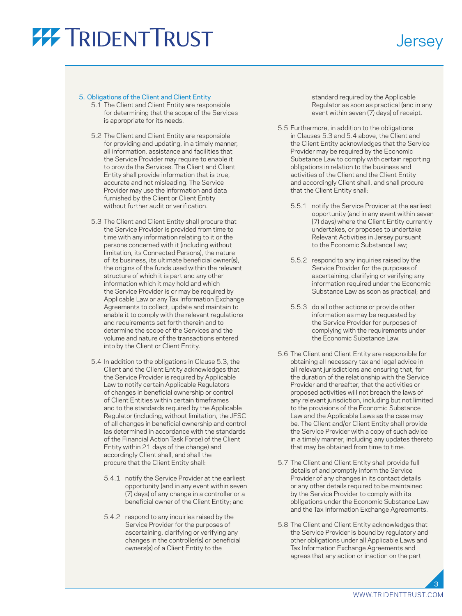### **Jersey**

### 5. Obligations of the Client and Client Entity

- 5.1 The Client and Client Entity are responsible for determining that the scope of the Services is appropriate for its needs.
- 5.2 The Client and Client Entity are responsible for providing and updating, in a timely manner, all information, assistance and facilities that the Service Provider may require to enable it to provide the Services. The Client and Client Entity shall provide information that is true, accurate and not misleading. The Service Provider may use the information and data furnished by the Client or Client Entity without further audit or verification.
- 5.3 The Client and Client Entity shall procure that the Service Provider is provided from time to time with any information relating to it or the persons concerned with it (including without limitation, its Connected Persons), the nature of its business, its ultimate beneficial owner(s), the origins of the funds used within the relevant structure of which it is part and any other information which it may hold and which the Service Provider is or may be required by Applicable Law or any Tax Information Exchange Agreements to collect, update and maintain to enable it to comply with the relevant regulations and requirements set forth therein and to determine the scope of the Services and the volume and nature of the transactions entered into by the Client or Client Entity.
- 5.4 In addition to the obligations in Clause 5.3, the Client and the Client Entity acknowledges that the Service Provider is required by Applicable Law to notify certain Applicable Regulators of changes in beneficial ownership or control of Client Entities within certain timeframes and to the standards required by the Applicable Regulator (including, without limitation, the JFSC of all changes in beneficial ownership and control (as determined in accordance with the standards of the Financial Action Task Force) of the Client Entity within 21 days of the change) and accordingly Client shall, and shall the procure that the Client Entity shall:
	- 5.4.1 notify the Service Provider at the earliest opportunity (and in any event within seven (7) days) of any change in a controller or a beneficial owner of the Client Entity; and
	- 5.4.2 respond to any inquiries raised by the Service Provider for the purposes of ascertaining, clarifying or verifying any changes in the controller(s) or beneficial owners(s) of a Client Entity to the

standard required by the Applicable Regulator as soon as practical (and in any event within seven (7) days) of receipt.

- 5.5 Furthermore, in addition to the obligations in Clauses 5.3 and 5.4 above, the Client and the Client Entity acknowledges that the Service Provider may be required by the Economic Substance Law to comply with certain reporting obligations in relation to the business and activities of the Client and the Client Entity and accordingly Client shall, and shall procure that the Client Entity shall:
	- 5.5.1 notify the Service Provider at the earliest opportunity (and in any event within seven (7) days) where the Client Entity currently undertakes, or proposes to undertake Relevant Activities in Jersey pursuant to the Economic Substance Law;
	- 5.5.2 respond to any inquiries raised by the Service Provider for the purposes of ascertaining, clarifying or verifying any information required under the Economic Substance Law as soon as practical; and
	- 5.5.3 do all other actions or provide other information as may be requested by the Service Provider for purposes of complying with the requirements under the Economic Substance Law.
- 5.6 The Client and Client Entity are responsible for obtaining all necessary tax and legal advice in all relevant jurisdictions and ensuring that, for the duration of the relationship with the Service Provider and thereafter, that the activities or proposed activities will not breach the laws of any relevant jurisdiction, including but not limited to the provisions of the Economic Substance Law and the Applicable Laws as the case may be. The Client and/or Client Entity shall provide the Service Provider with a copy of such advice in a timely manner, including any updates thereto that may be obtained from time to time.
- 5.7 The Client and Client Entity shall provide full details of and promptly inform the Service Provider of any changes in its contact details or any other details required to be maintained by the Service Provider to comply with its obligations under the Economic Substance Law and the Tax Information Exchange Agreements.
- 5.8 The Client and Client Entity acknowledges that the Service Provider is bound by regulatory and other obligations under all Applicable Laws and Tax Information Exchange Agreements and agrees that any action or inaction on the part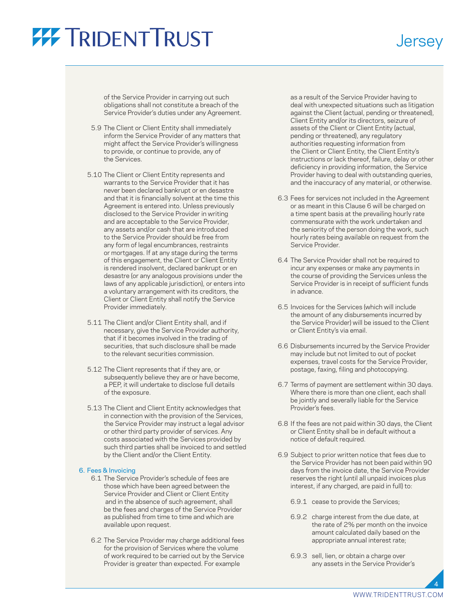of the Service Provider in carrying out such obligations shall not constitute a breach of the Service Provider's duties under any Agreement.

- 5.9 The Client or Client Entity shall immediately inform the Service Provider of any matters that might affect the Service Provider's willingness to provide, or continue to provide, any of the Services.
- 5.10 The Client or Client Entity represents and warrants to the Service Provider that it has never been declared bankrupt or en desastre and that it is financially solvent at the time this Agreement is entered into. Unless previously disclosed to the Service Provider in writing and are acceptable to the Service Provider, any assets and/or cash that are introduced to the Service Provider should be free from any form of legal encumbrances, restraints or mortgages. If at any stage during the terms of this engagement, the Client or Client Entity is rendered insolvent, declared bankrupt or en desastre (or any analogous provisions under the laws of any applicable jurisdiction), or enters into a voluntary arrangement with its creditors, the Client or Client Entity shall notify the Service Provider immediately.
- 5.11 The Client and/or Client Entity shall, and if necessary, give the Service Provider authority, that if it becomes involved in the trading of securities, that such disclosure shall be made to the relevant securities commission.
- 5.12 The Client represents that if they are, or subsequently believe they are or have become, a PEP, it will undertake to disclose full details of the exposure.
- 5.13 The Client and Client Entity acknowledges that in connection with the provision of the Services, the Service Provider may instruct a legal advisor or other third party provider of services. Any costs associated with the Services provided by such third parties shall be invoiced to and settled by the Client and/or the Client Entity.

#### 6. Fees & Invoicing

- 6.1 The Service Provider's schedule of fees are those which have been agreed between the Service Provider and Client or Client Entity and in the absence of such agreement, shall be the fees and charges of the Service Provider as published from time to time and which are available upon request.
- 6.2 The Service Provider may charge additional fees for the provision of Services where the volume of work required to be carried out by the Service Provider is greater than expected. For example

as a result of the Service Provider having to deal with unexpected situations such as litigation against the Client (actual, pending or threatened), Client Entity and/or its directors, seizure of assets of the Client or Client Entity (actual, pending or threatened), any regulatory authorities requesting information from the Client or Client Entity, the Client Entity's instructions or lack thereof, failure, delay or other deficiency in providing information, the Service Provider having to deal with outstanding queries, and the inaccuracy of any material, or otherwise.

**Jersey** 

- 6.3 Fees for services not included in the Agreement or as meant in this Clause 6 will be charged on a time spent basis at the prevailing hourly rate commensurate with the work undertaken and the seniority of the person doing the work, such hourly rates being available on request from the Service Provider.
- 6.4 The Service Provider shall not be required to incur any expenses or make any payments in the course of providing the Services unless the Service Provider is in receipt of sufficient funds in advance.
- 6.5 Invoices for the Services (which will include the amount of any disbursements incurred by the Service Provider) will be issued to the Client or Client Entity's via email.
- 6.6 Disbursements incurred by the Service Provider may include but not limited to out of pocket expenses, travel costs for the Service Provider, postage, faxing, filing and photocopying.
- 6.7 Terms of payment are settlement within 30 days. Where there is more than one client, each shall be jointly and severally liable for the Service Provider's fees.
- 6.8 If the fees are not paid within 30 days, the Client or Client Entity shall be in default without a notice of default required.
- 6.9 Subject to prior written notice that fees due to the Service Provider has not been paid within 90 days from the invoice date, the Service Provider reserves the right (until all unpaid invoices plus interest, if any charged, are paid in full) to:
	- 6.9.1 cease to provide the Services;
	- 6.9.2 charge interest from the due date, at the rate of 2% per month on the invoice amount calculated daily based on the appropriate annual interest rate;
	- 6.9.3 sell, lien, or obtain a charge over any assets in the Service Provider's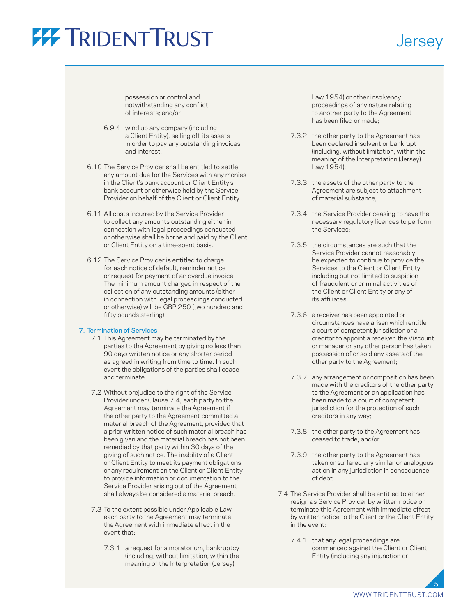### **Jersey**

possession or control and notwithstanding any conflict of interests; and/or

- 6.9.4 wind up any company (including a Client Entity), selling off its assets in order to pay any outstanding invoices and interest.
- 6.10 The Service Provider shall be entitled to settle any amount due for the Services with any monies in the Client's bank account or Client Entity's bank account or otherwise held by the Service Provider on behalf of the Client or Client Entity.
- 6.11 All costs incurred by the Service Provider to collect any amounts outstanding either in connection with legal proceedings conducted or otherwise shall be borne and paid by the Client or Client Entity on a time-spent basis.
- 6.12 The Service Provider is entitled to charge for each notice of default, reminder notice or request for payment of an overdue invoice. The minimum amount charged in respect of the collection of any outstanding amounts (either in connection with legal proceedings conducted or otherwise) will be GBP 250 (two hundred and fifty pounds sterling).

### 7. Termination of Services

- 7.1 This Agreement may be terminated by the parties to the Agreement by giving no less than 90 days written notice or any shorter period as agreed in writing from time to time. In such event the obligations of the parties shall cease and terminate.
- 7.2 Without prejudice to the right of the Service Provider under Clause 7.4, each party to the Agreement may terminate the Agreement if the other party to the Agreement committed a material breach of the Agreement, provided that a prior written notice of such material breach has been given and the material breach has not been remedied by that party within 30 days of the giving of such notice. The inability of a Client or Client Entity to meet its payment obligations or any requirement on the Client or Client Entity to provide information or documentation to the Service Provider arising out of the Agreement shall always be considered a material breach.
- 7.3 To the extent possible under Applicable Law, each party to the Agreement may terminate the Agreement with immediate effect in the event that:
	- 7.3.1 a request for a moratorium, bankruptcy (including, without limitation, within the meaning of the Interpretation (Jersey)

Law 1954) or other insolvency proceedings of any nature relating to another party to the Agreement has been filed or made;

- 7.3.2 the other party to the Agreement has been declared insolvent or bankrupt (including, without limitation, within the meaning of the Interpretation (Jersey) Law 1954);
- 7.3.3 the assets of the other party to the Agreement are subject to attachment of material substance;
- 7.3.4 the Service Provider ceasing to have the necessary regulatory licences to perform the Services;
- 7.3.5 the circumstances are such that the Service Provider cannot reasonably be expected to continue to provide the Services to the Client or Client Entity, including but not limited to suspicion of fraudulent or criminal activities of the Client or Client Entity or any of its affiliates;
- 7.3.6 a receiver has been appointed or circumstances have arisen which entitle a court of competent jurisdiction or a creditor to appoint a receiver, the Viscount or manager or any other person has taken possession of or sold any assets of the other party to the Agreement;
- 7.3.7 any arrangement or composition has been made with the creditors of the other party to the Agreement or an application has been made to a court of competent jurisdiction for the protection of such creditors in any way;
- 7.3.8 the other party to the Agreement has ceased to trade; and/or
- 7.3.9 the other party to the Agreement has taken or suffered any similar or analogous action in any jurisdiction in consequence of debt.
- 7.4 The Service Provider shall be entitled to either resign as Service Provider by written notice or terminate this Agreement with immediate effect by written notice to the Client or the Client Entity in the event:
	- 7.4.1 that any legal proceedings are commenced against the Client or Client Entity (including any injunction or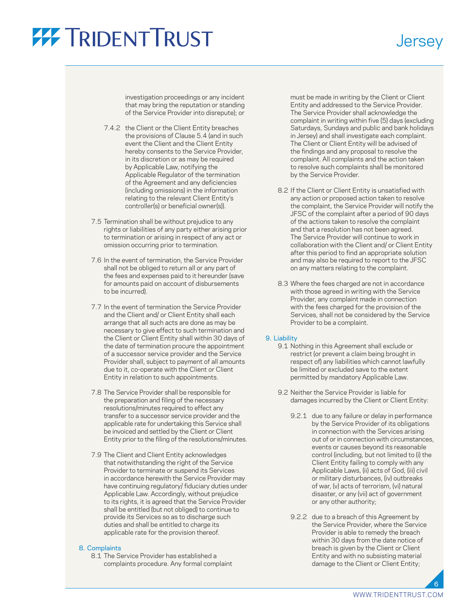### **Jersey**

investigation proceedings or any incident that may bring the reputation or standing of the Service Provider into disrepute); or

- 7.4.2 the Client or the Client Entity breaches the provisions of Clause 5.4 (and in such event the Client and the Client Entity hereby consents to the Service Provider, in its discretion or as may be required by Applicable Law, notifying the Applicable Regulator of the termination of the Agreement and any deficiencies (including omissions) in the information relating to the relevant Client Entity's controller(s) or beneficial owner(s)).
- 7.5 Termination shall be without prejudice to any rights or liabilities of any party either arising prior to termination or arising in respect of any act or omission occurring prior to termination.
- 7.6 In the event of termination, the Service Provider shall not be obliged to return all or any part of the fees and expenses paid to it hereunder (save for amounts paid on account of disbursements to be incurred).
- 7.7 In the event of termination the Service Provider and the Client and/ or Client Entity shall each arrange that all such acts are done as may be necessary to give effect to such termination and the Client or Client Entity shall within 30 days of the date of termination procure the appointment of a successor service provider and the Service Provider shall, subject to payment of all amounts due to it, co-operate with the Client or Client Entity in relation to such appointments.
- 7.8 The Service Provider shall be responsible for the preparation and filing of the necessary resolutions/minutes required to effect any transfer to a successor service provider and the applicable rate for undertaking this Service shall be invoiced and settled by the Client or Client Entity prior to the filing of the resolutions/minutes.
- 7.9 The Client and Client Entity acknowledges that notwithstanding the right of the Service Provider to terminate or suspend its Services in accordance herewith the Service Provider may have continuing regulatory/ fiduciary duties under Applicable Law. Accordingly, without prejudice to its rights, it is agreed that the Service Provider shall be entitled (but not obliged) to continue to provide its Services so as to discharge such duties and shall be entitled to charge its applicable rate for the provision thereof.

### 8. Complaints

 8.1 The Service Provider has established a complaints procedure. Any formal complaint must be made in writing by the Client or Client Entity and addressed to the Service Provider. The Service Provider shall acknowledge the complaint in writing within five (5) days (excluding Saturdays, Sundays and public and bank holidays in Jersey) and shall investigate each complaint. The Client or Client Entity will be advised of the findings and any proposal to resolve the complaint. All complaints and the action taken to resolve such complaints shall be monitored by the Service Provider.

- 8.2 If the Client or Client Entity is unsatisfied with any action or proposed action taken to resolve the complaint, the Service Provider will notify the JFSC of the complaint after a period of 90 days of the actions taken to resolve the complaint and that a resolution has not been agreed. The Service Provider will continue to work in collaboration with the Client and/ or Client Entity after this period to find an appropriate solution and may also be required to report to the JFSC on any matters relating to the complaint.
- 8.3 Where the fees charged are not in accordance with those agreed in writing with the Service Provider, any complaint made in connection with the fees charged for the provision of the Services, shall not be considered by the Service Provider to be a complaint.

### 9. Liability

- 9.1 Nothing in this Agreement shall exclude or restrict (or prevent a claim being brought in respect of) any liabilities which cannot lawfully be limited or excluded save to the extent permitted by mandatory Applicable Law.
- 9.2 Neither the Service Provider is liable for damages incurred by the Client or Client Entity:
	- 9.2.1 due to any failure or delay in performance by the Service Provider of its obligations in connection with the Services arising out of or in connection with circumstances, events or causes beyond its reasonable control (including, but not limited to (i) the Client Entity failing to comply with any Applicable Laws, (ii) acts of God, (iii) civil or military disturbances, (iv) outbreaks of war, (v) acts of terrorism, (vi) natural disaster, or any (vii) act of government or any other authority;
	- 9.2.2 due to a breach of this Agreement by the Service Provider, where the Service Provider is able to remedy the breach within 30 days from the date notice of breach is given by the Client or Client Entity and with no subsisting material damage to the Client or Client Entity;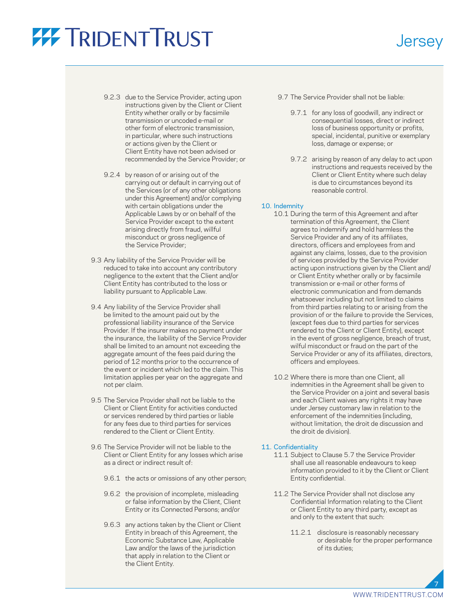- 9.2.3 due to the Service Provider, acting upon instructions given by the Client or Client Entity whether orally or by facsimile transmission or uncoded e-mail or other form of electronic transmission, in particular, where such instructions or actions given by the Client or Client Entity have not been advised or recommended by the Service Provider; or
- 9.2.4 by reason of or arising out of the carrying out or default in carrying out of the Services (or of any other obligations under this Agreement) and/or complying with certain obligations under the Applicable Laws by or on behalf of the Service Provider except to the extent arising directly from fraud, willful misconduct or gross negligence of the Service Provider;
- 9.3 Any liability of the Service Provider will be reduced to take into account any contributory negligence to the extent that the Client and/or Client Entity has contributed to the loss or liability pursuant to Applicable Law.
- 9.4 Any liability of the Service Provider shall be limited to the amount paid out by the professional liability insurance of the Service Provider. If the insurer makes no payment under the insurance, the liability of the Service Provider shall be limited to an amount not exceeding the aggregate amount of the fees paid during the period of 12 months prior to the occurrence of the event or incident which led to the claim. This limitation applies per year on the aggregate and not per claim.
- 9.5 The Service Provider shall not be liable to the Client or Client Entity for activities conducted or services rendered by third parties or liable for any fees due to third parties for services rendered to the Client or Client Entity.
- 9.6 The Service Provider will not be liable to the Client or Client Entity for any losses which arise as a direct or indirect result of:
	- 9.6.1 the acts or omissions of any other person;
	- 9.6.2 the provision of incomplete, misleading or false information by the Client, Client Entity or its Connected Persons; and/or
	- 9.6.3 any actions taken by the Client or Client Entity in breach of this Agreement, the Economic Substance Law, Applicable Law and/or the laws of the jurisdiction that apply in relation to the Client or the Client Entity.
- 9.7 The Service Provider shall not be liable:
	- 9.7.1 for any loss of goodwill, any indirect or consequential losses, direct or indirect loss of business opportunity or profits, special, incidental, punitive or exemplary loss, damage or expense; or

**Jersey** 

 9.7.2 arising by reason of any delay to act upon instructions and requests received by the Client or Client Entity where such delay is due to circumstances beyond its reasonable control.

#### 10. Indemnity

- 10.1 During the term of this Agreement and after termination of this Agreement, the Client agrees to indemnify and hold harmless the Service Provider and any of its affiliates, directors, officers and employees from and against any claims, losses, due to the provision of services provided by the Service Provider acting upon instructions given by the Client and/ or Client Entity whether orally or by facsimile transmission or e-mail or other forms of electronic communication and from demands whatsoever including but not limited to claims from third parties relating to or arising from the provision of or the failure to provide the Services, (except fees due to third parties for services rendered to the Client or Client Entity), except in the event of gross negligence, breach of trust, wilful misconduct or fraud on the part of the Service Provider or any of its affiliates, directors, officers and employees.
- 10.2 Where there is more than one Client, all indemnities in the Agreement shall be given to the Service Provider on a joint and several basis and each Client waives any rights it may have under Jersey customary law in relation to the enforcement of the indemnities (including, without limitation, the droit de discussion and the droit de division).

### 11. Confidentiality

- 11.1 Subject to Clause 5.7 the Service Provider shall use all reasonable endeavours to keep information provided to it by the Client or Client Entity confidential.
- 11.2 The Service Provider shall not disclose any Confidential Information relating to the Client or Client Entity to any third party, except as and only to the extent that such:
	- 11.2.1 disclosure is reasonably necessary or desirable for the proper performance of its duties;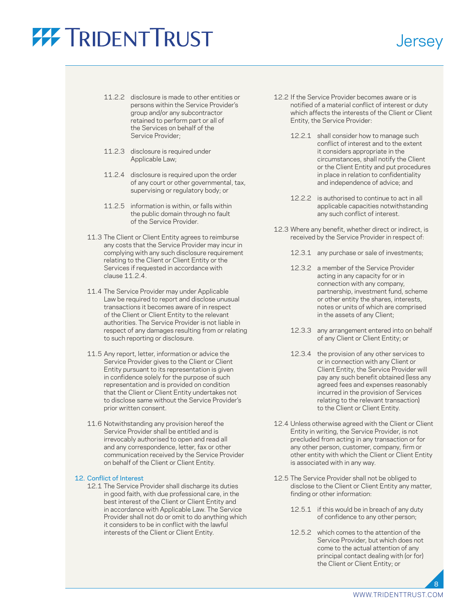### **Jersey**

- 11.2.2 disclosure is made to other entities or persons within the Service Provider's group and/or any subcontractor retained to perform part or all of the Services on behalf of the Service Provider;
- 11.2.3 disclosure is required under Applicable Law;
- 11.2.4 disclosure is required upon the order of any court or other governmental, tax, supervising or regulatory body; or
- 11.2.5 information is within, or falls within the public domain through no fault of the Service Provider.
- 11.3 The Client or Client Entity agrees to reimburse any costs that the Service Provider may incur in complying with any such disclosure requirement relating to the Client or Client Entity or the Services if requested in accordance with clause 11.2.4.
- 11.4 The Service Provider may under Applicable Law be required to report and disclose unusual transactions it becomes aware of in respect of the Client or Client Entity to the relevant authorities. The Service Provider is not liable in respect of any damages resulting from or relating to such reporting or disclosure.
- 11.5 Any report, letter, information or advice the Service Provider gives to the Client or Client Entity pursuant to its representation is given in confidence solely for the purpose of such representation and is provided on condition that the Client or Client Entity undertakes not to disclose same without the Service Provider's prior written consent.
- 11.6 Notwithstanding any provision hereof the Service Provider shall be entitled and is irrevocably authorised to open and read all and any correspondence, letter, fax or other communication received by the Service Provider on behalf of the Client or Client Entity.

### 12. Conflict of Interest

 12.1 The Service Provider shall discharge its duties in good faith, with due professional care, in the best interest of the Client or Client Entity and in accordance with Applicable Law. The Service Provider shall not do or omit to do anything which it considers to be in conflict with the lawful interests of the Client or Client Entity.

- 12.2 If the Service Provider becomes aware or is notified of a material conflict of interest or duty which affects the interests of the Client or Client Entity, the Service Provider:
	- 12.2.1 shall consider how to manage such conflict of interest and to the extent it considers appropriate in the circumstances, shall notify the Client or the Client Entity and put procedures in place in relation to confidentiality and independence of advice; and
	- 12.2.2 is authorised to continue to act in all applicable capacities notwithstanding any such conflict of interest.
- 12.3 Where any benefit, whether direct or indirect, is received by the Service Provider in respect of:
	- 12.3.1 any purchase or sale of investments;
	- 12.3.2 a member of the Service Provider acting in any capacity for or in connection with any company, partnership, investment fund, scheme or other entity the shares, interests, notes or units of which are comprised in the assets of any Client;
	- 12.3.3 any arrangement entered into on behalf of any Client or Client Entity; or
	- 12.3.4 the provision of any other services to or in connection with any Client or Client Entity, the Service Provider will pay any such benefit obtained (less any agreed fees and expenses reasonably incurred in the provision of Services relating to the relevant transaction) to the Client or Client Entity.
- 12.4 Unless otherwise agreed with the Client or Client Entity in writing, the Service Provider, is not precluded from acting in any transaction or for any other person, customer, company, firm or other entity with which the Client or Client Entity is associated with in any way.
- 12.5 The Service Provider shall not be obliged to disclose to the Client or Client Entity any matter, finding or other information:
	- 12.5.1 if this would be in breach of any duty of confidence to any other person;
	- 12.5.2 which comes to the attention of the Service Provider, but which does not come to the actual attention of any principal contact dealing with (or for) the Client or Client Entity; or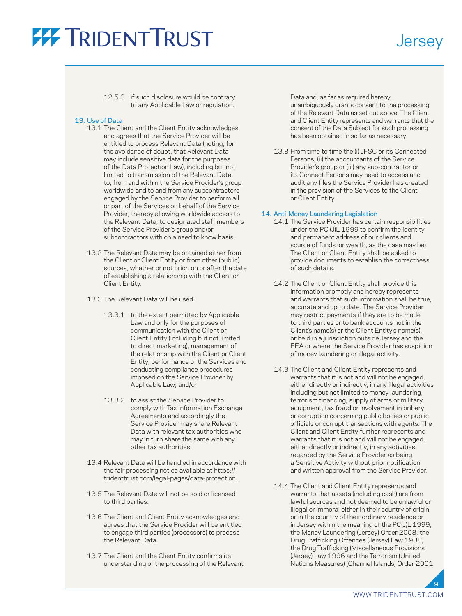### **Jersey**

 12.5.3 if such disclosure would be contrary to any Applicable Law or regulation.

### 13. Use of Data

- 13.1 The Client and the Client Entity acknowledges and agrees that the Service Provider will be entitled to process Relevant Data (noting, for the avoidance of doubt, that Relevant Data may include sensitive data for the purposes of the Data Protection Law), including but not limited to transmission of the Relevant Data, to, from and within the Service Provider's group worldwide and to and from any subcontractors engaged by the Service Provider to perform all or part of the Services on behalf of the Service Provider, thereby allowing worldwide access to the Relevant Data, to designated staff members of the Service Provider's group and/or subcontractors with on a need to know basis.
- 13.2 The Relevant Data may be obtained either from the Client or Client Entity or from other (public) sources, whether or not prior, on or after the date of establishing a relationship with the Client or Client Entity.
- 13.3 The Relevant Data will be used:
	- 13.3.1 to the extent permitted by Applicable Law and only for the purposes of communication with the Client or Client Entity (including but not limited to direct marketing), management of the relationship with the Client or Client Entity, performance of the Services and conducting compliance procedures imposed on the Service Provider by Applicable Law; and/or
	- 13.3.2 to assist the Service Provider to comply with Tax Information Exchange Agreements and accordingly the Service Provider may share Relevant Data with relevant tax authorities who may in turn share the same with any other tax authorities.
- 13.4 Relevant Data will be handled in accordance with the fair processing notice available at [https://](https://tridenttrust.com/legal-pages/data-protection) [tridenttrust.com/legal-pages/data-protection](https://tridenttrust.com/legal-pages/data-protection).
- 13.5 The Relevant Data will not be sold or licensed to third parties.
- 13.6 The Client and Client Entity acknowledges and agrees that the Service Provider will be entitled to engage third parties (processors) to process the Relevant Data.
- 13.7 The Client and the Client Entity confirms its understanding of the processing of the Relevant

Data and, as far as required hereby,

unambiguously grants consent to the processing of the Relevant Data as set out above. The Client and Client Entity represents and warrants that the consent of the Data Subject for such processing has been obtained in so far as necessary.

 13.8 From time to time the (i) JFSC or its Connected Persons, (ii) the accountants of the Service Provider's group or (iii) any sub-contractor or its Connect Persons may need to access and audit any files the Service Provider has created in the provision of the Services to the Client or Client Entity.

### 14. Anti-Money Laundering Legislation

- 14.1 The Service Provider has certain responsibilities under the PC (J)L 1999 to confirm the identity and permanent address of our clients and source of funds (or wealth, as the case may be). The Client or Client Entity shall be asked to provide documents to establish the correctness of such details.
- 14.2 The Client or Client Entity shall provide this information promptly and hereby represents and warrants that such information shall be true, accurate and up to date. The Service Provider may restrict payments if they are to be made to third parties or to bank accounts not in the Client's name(s) or the Client Entity's name(s), or held in a jurisdiction outside Jersey and the EEA or where the Service Provider has suspicion of money laundering or illegal activity.
- 14.3 The Client and Client Entity represents and warrants that it is not and will not be engaged, either directly or indirectly, in any illegal activities including but not limited to money laundering, terrorism financing, supply of arms or military equipment, tax fraud or involvement in bribery or corruption concerning public bodies or public officials or corrupt transactions with agents. The Client and Client Entity further represents and warrants that it is not and will not be engaged, either directly or indirectly, in any activities regarded by the Service Provider as being a Sensitive Activity without prior notification and written approval from the Service Provider.
- 14.4 The Client and Client Entity represents and warrants that assets (including cash) are from lawful sources and not deemed to be unlawful or illegal or immoral either in their country of origin or in the country of their ordinary residence or in Jersey within the meaning of the PC(J)L 1999, the Money Laundering (Jersey) Order 2008, the Drug Trafficking Offences (Jersey) Law 1988, the Drug Trafficking (Miscellaneous Provisions (Jersey) Law 1996 and the Terrorism (United Nations Measures) (Channel Islands) Order 2001